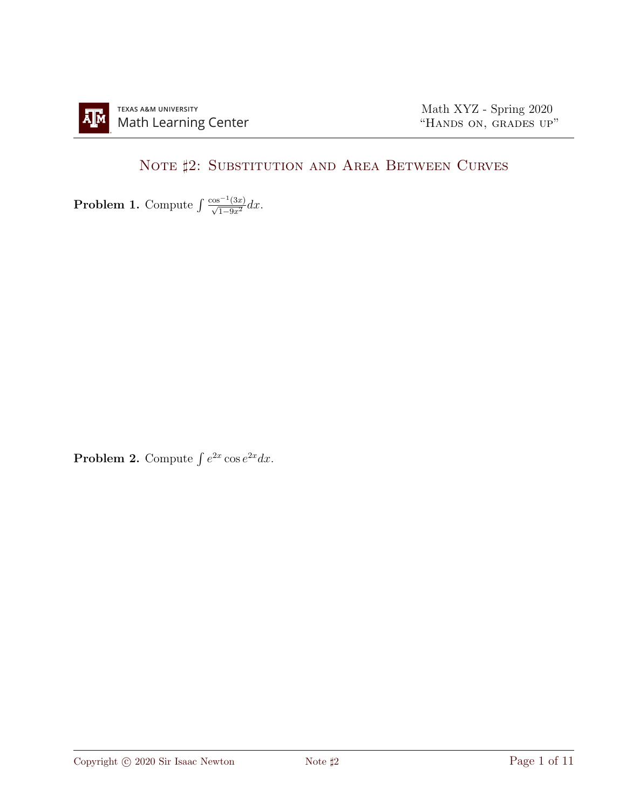## NOTE  $\sharp 2$ : SUBSTITUTION AND AREA BETWEEN CURVES

**Problem 1.** Compute  $\int \frac{\cos^{-1}(3x)}{\sqrt{1-9x^2}} dx$ .

**Problem 2.** Compute  $\int e^{2x} \cos e^{2x} dx$ .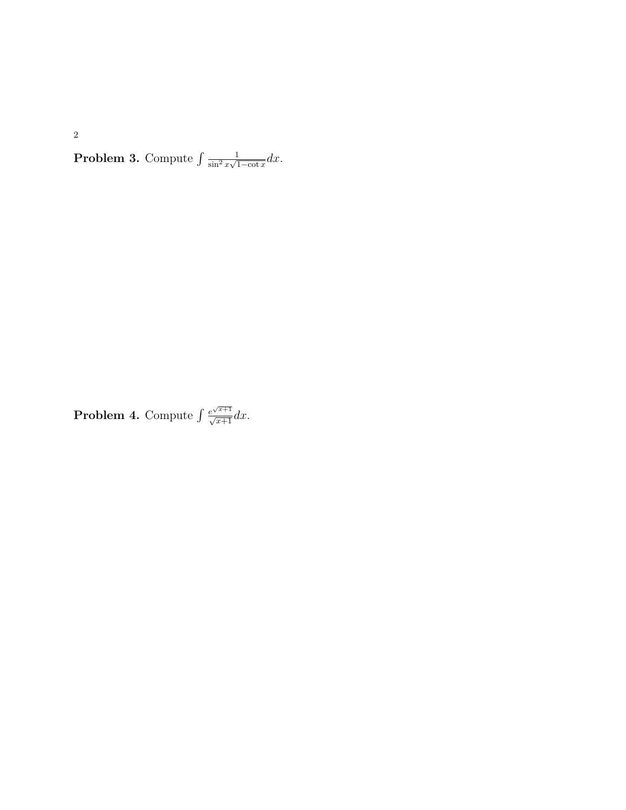**Problem 3.** Compute  $\int \frac{1}{\sin^2 x}$  $\frac{1}{\sin^2 x \sqrt{1-\cot x}} dx.$ 

**Problem 4.** Compute  $\int \frac{e^{\sqrt{x+1}}}{\sqrt{x+1}} dx$ .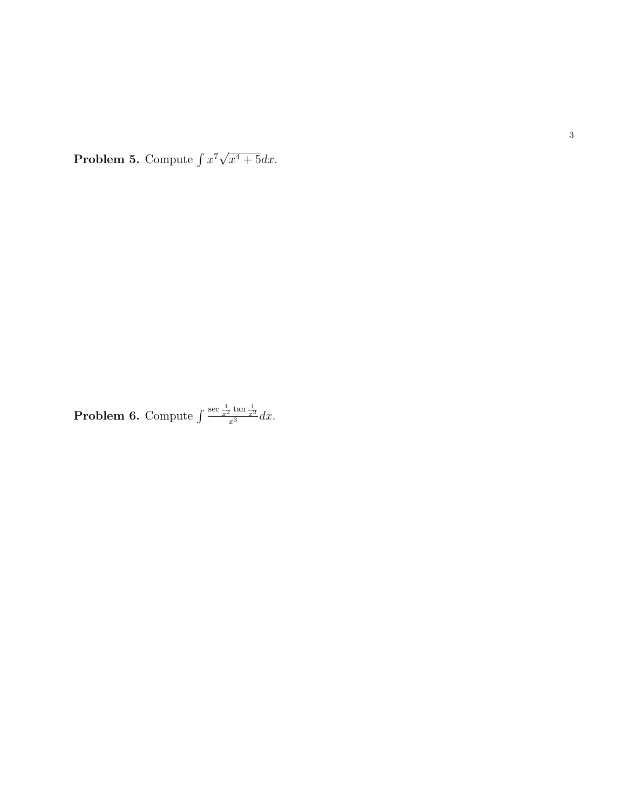**Problem 5.** Compute  $\int x^7 \sqrt{ }$  $x^4+5dx$ .

**Problem 6.** Compute 
$$
\int \frac{\sec \frac{1}{x^2} \tan \frac{1}{x^2}}{x^3} dx
$$
.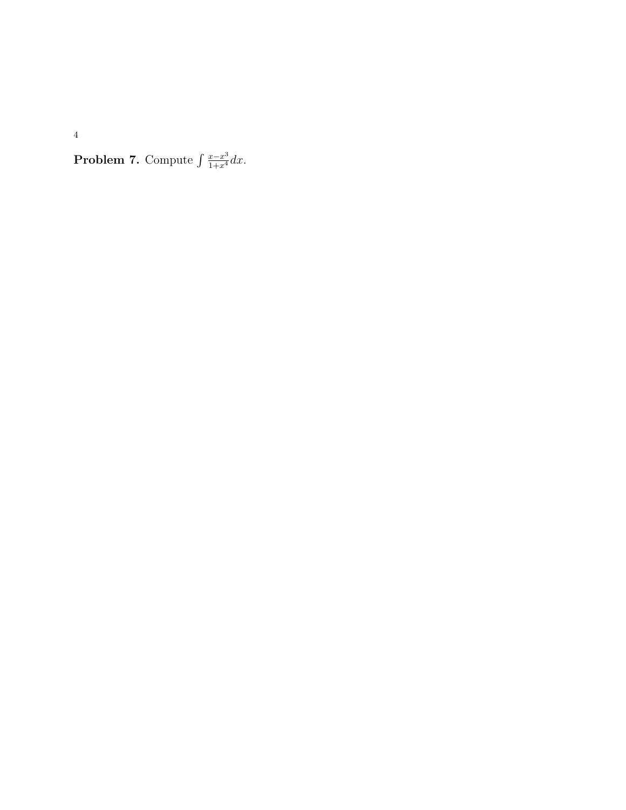**Problem 7.** Compute  $\int \frac{x-x^3}{1+x^4} dx$ .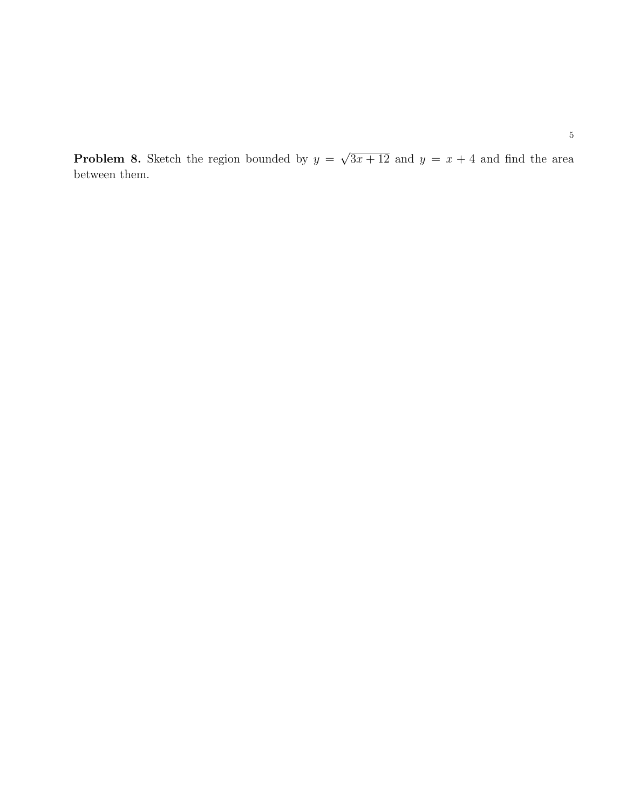**Problem 8.** Sketch the region bounded by  $y =$ √  $3x + 12$  and  $y = x + 4$  and find the area between them.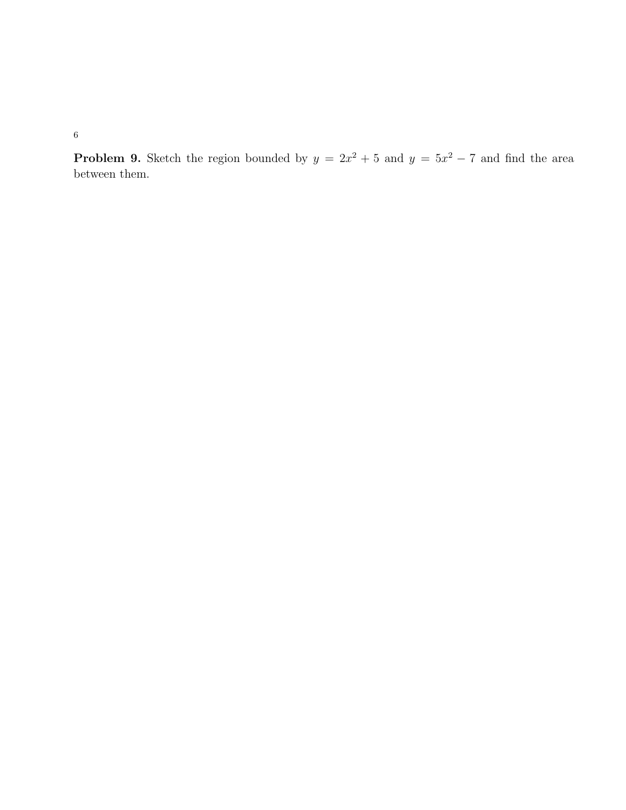**Problem 9.** Sketch the region bounded by  $y = 2x^2 + 5$  and  $y = 5x^2 - 7$  and find the area between them.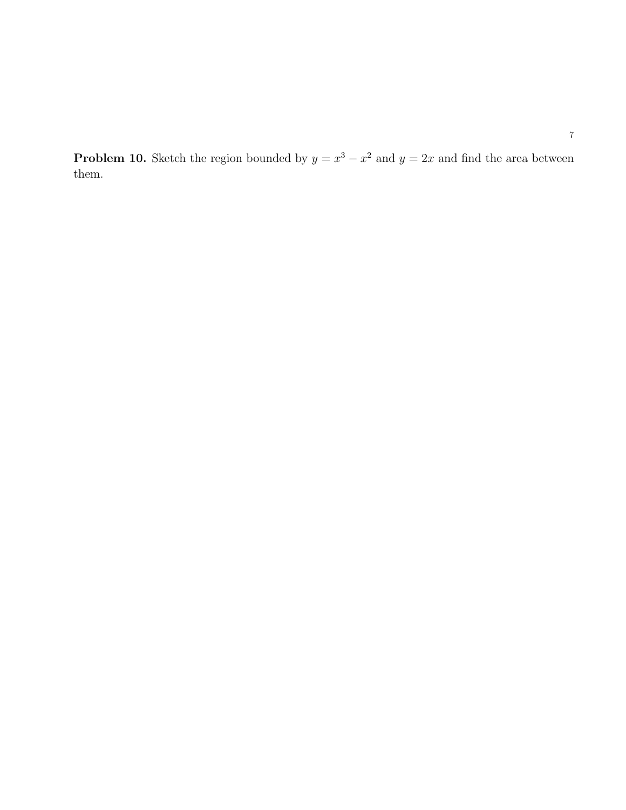**Problem 10.** Sketch the region bounded by  $y = x^3 - x^2$  and  $y = 2x$  and find the area between them.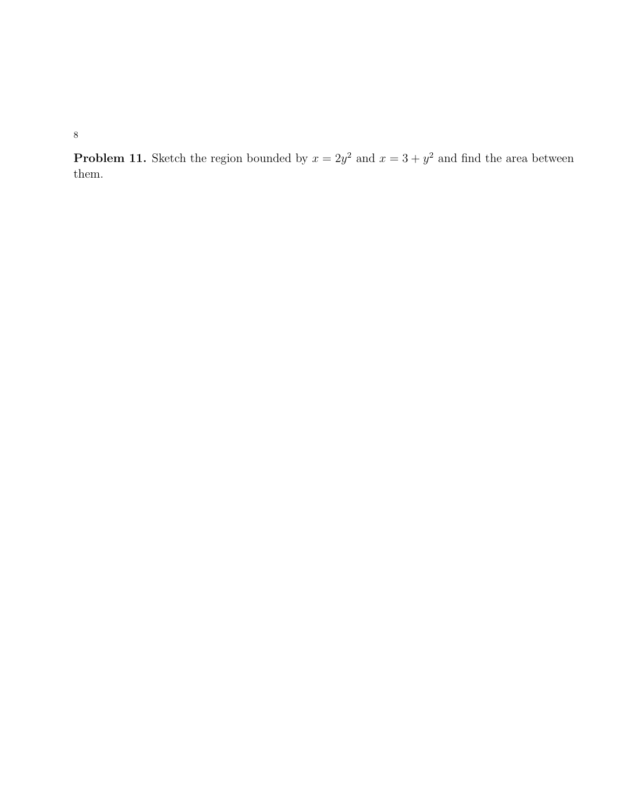**Problem 11.** Sketch the region bounded by  $x = 2y^2$  and  $x = 3 + y^2$  and find the area between them.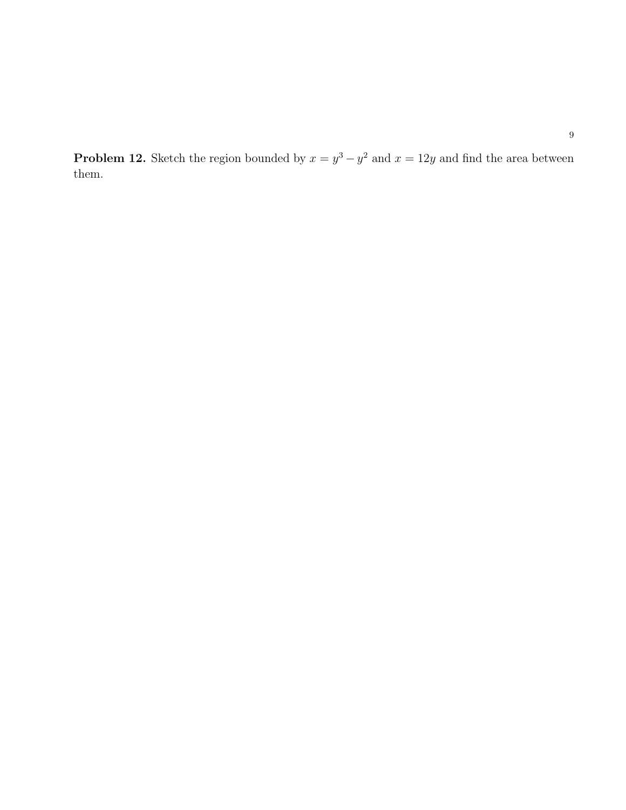**Problem 12.** Sketch the region bounded by  $x = y^3 - y^2$  and  $x = 12y$  and find the area between them.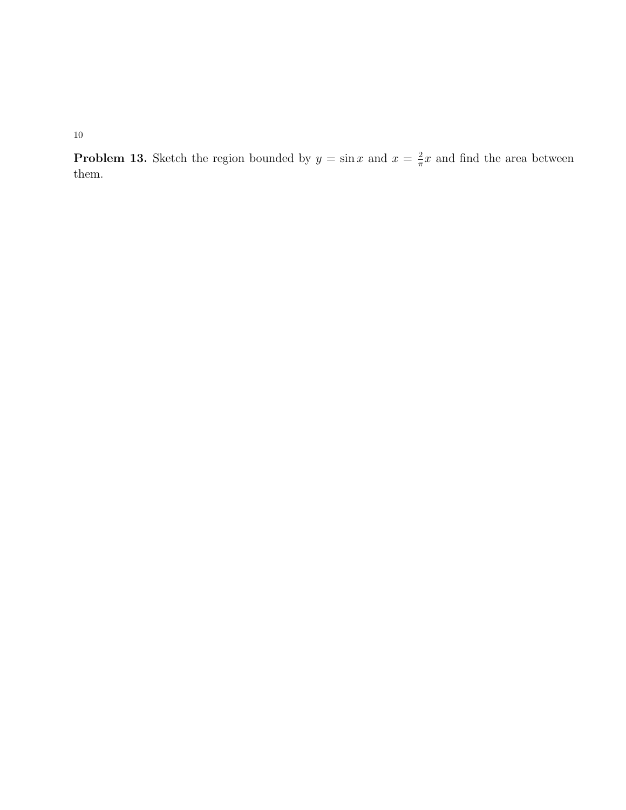**Problem 13.** Sketch the region bounded by  $y = \sin x$  and  $x = \frac{2}{\pi}$  $\frac{2}{\pi}x$  and find the area between them.